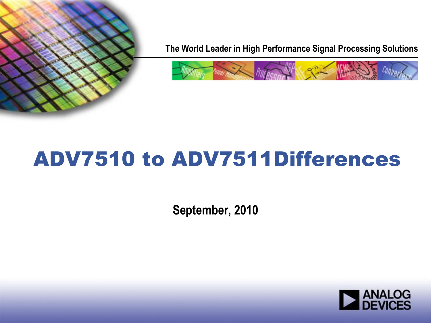

**The World Leader in High Performance Signal Processing Solutions**



# ADV7510 to ADV7511Differences

**September, 2010**

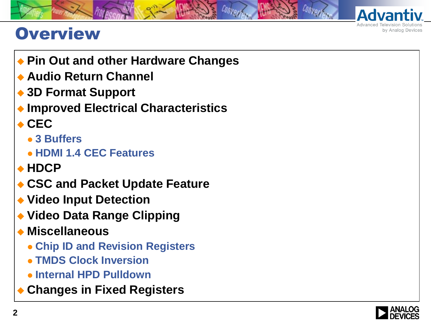

#### **Overview**

- ◆ Pin Out and other Hardware Changes
- **Audio Return Channel**
- **3D Format Support**
- **Improved Electrical Characteristics**
- $\triangle$ **CEC** 
	- **3 Buffers**
	- **HDMI 1.4 CEC Features**
- **HDCP**
- **CSC and Packet Update Feature**
- **Video Input Detection**
- **Video Data Range Clipping**
- **Miscellaneous**
	- **Chip ID and Revision Registers**
	- **TMDS Clock Inversion**
	- **Internal HPD Pulldown**
- **Changes in Fixed Registers**

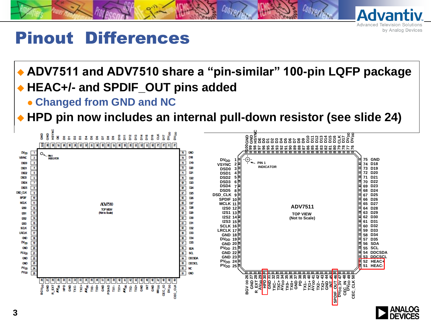

#### Pinout Differences

#### **ADV7511 and ADV7510 share a "pin-similar" 100-pin LQFP package HEAC+/- and SPDIF\_OUT pins added**

**Changed from GND and NC**

**HPD pin now includes an internal pull-down resistor (see slide 24)**



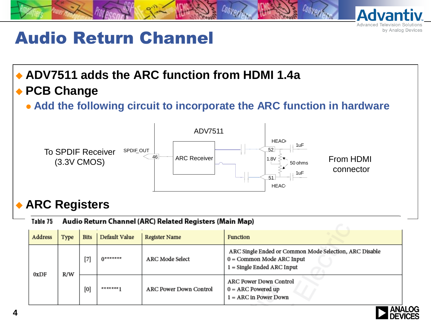

### Audio Return Channel

#### **ADV7511 adds the ARC function from HDMI 1.4a PCB Change**

**Add the following circuit to incorporate the ARC function in hardware**



#### **ARC Registers**

#### Audio Return Channel (ARC) Related Registers (Main Map) Table 75

| Address     | Type | <b>Bits</b> | Default Value   | <b>Register Name</b>          | <b>Function</b>                                                                                                       |  |
|-------------|------|-------------|-----------------|-------------------------------|-----------------------------------------------------------------------------------------------------------------------|--|
| 0xDF<br>R/W |      | $^{[7]}$    | <b>Ussanare</b> | <b>ARC Mode Select</b>        | ARC Single Ended or Common Mode Selection, ARC Disable<br>$0 =$ Common Mode ARC Input<br>$1 =$ Single Ended ARC Input |  |
|             |      | [0]         | 滑稽 地质 地质质 十     | <b>ARC Power Down Control</b> | ARC Power Down Control<br>$0 = ARC$ Powered up<br>$1 = ARC$ in Power Down                                             |  |

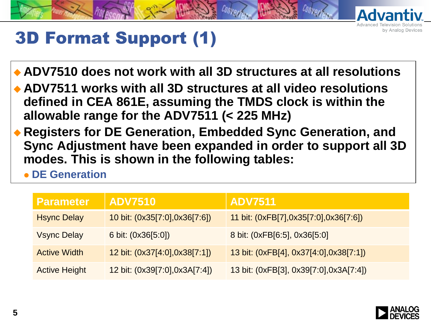

# 3D Format Support (1)

- **ADV7510 does not work with all 3D structures at all resolutions**
- **ADV7511 works with all 3D structures at all video resolutions defined in CEA 861E, assuming the TMDS clock is within the allowable range for the ADV7511 (< 225 MHz)**
- **Registers for DE Generation, Embedded Sync Generation, and Sync Adjustment have been expanded in order to support all 3D modes. This is shown in the following tables:**
	- **DE Generation**

| <b>Parameter</b>     | <b>ADV7510</b>                | <b>ADV7511</b>                            |
|----------------------|-------------------------------|-------------------------------------------|
| <b>Hsync Delay</b>   | 10 bit: (0x35[7:0],0x36[7:6]) | 11 bit: $(0xFB[7], 0x35[7:0], 0x36[7:6])$ |
| <b>Vsync Delay</b>   | 6 bit: $(0x36[5:0])$          | 8 bit: (0xFB[6:5], 0x36[5:0]              |
| <b>Active Width</b>  | 12 bit: (0x37[4:0],0x38[7:1]) | 13 bit: $(0xFB[4], 0x37[4:0], 0x38[7:1])$ |
| <b>Active Height</b> | 12 bit: (0x39[7:0],0x3A[7:4]) | 13 bit: (0xFB[3], 0x39[7:0],0x3A[7:4])    |

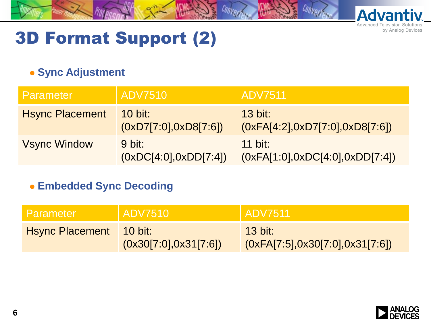

# 3D Format Support (2)

#### **• Sync Adjustment**

| <b>Parameter</b>       | <b>ADV7510</b>                    | <b>ADV7511</b>                                      |
|------------------------|-----------------------------------|-----------------------------------------------------|
| <b>Hsync Placement</b> | 10 bit:<br>(0xD7[7:0], 0xD8[7:6]) | $13$ bit:<br>(0xFA[4:2], 0xD7[7:0], 0xD8[7:6])      |
| <b>Vsync Window</b>    | 9 bit:<br>(0xDC[4:0], 0xDD[7:4])  | <b>11 bit:</b><br>(0xFA[1:0], 0xDC[4:0], 0xDD[7:4]) |

**Embedded Sync Decoding**

| Parameter                       | ADV7510                | <b>ADV7511</b>                                      |
|---------------------------------|------------------------|-----------------------------------------------------|
| <b>H</b> sync Placement 10 bit: | (0x30[7:0], 0x31[7:6]) | <b>13 bit:</b><br>(0xFA[7:5], 0x30[7:0], 0x31[7:6]) |

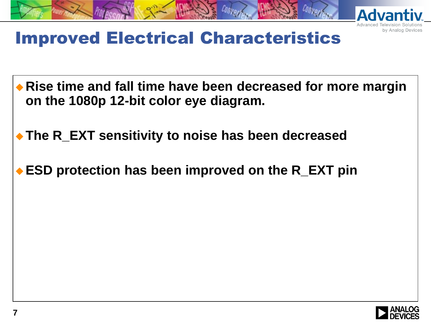

# Improved Electrical Characteristics

- **Rise time and fall time have been decreased for more margin on the 1080p 12-bit color eye diagram.**
- **The R\_EXT sensitivity to noise has been decreased**
- **ESD protection has been improved on the R\_EXT pin**



by Analog Devices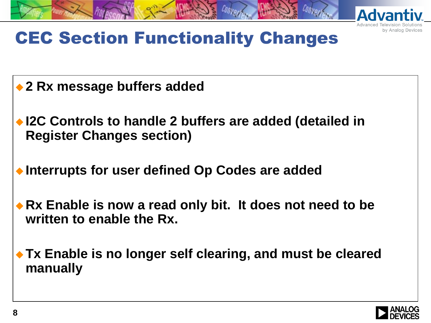

by Analog Devices

# CEC Section Functionality Changes

- ◆ 2 Rx message buffers added
- ◆ I2C Controls to handle 2 buffers are added (detailed in **Register Changes section)**
- **Interrupts for user defined Op Codes are added**
- ◆ Rx Enable is now a read only bit. It does not need to be **written to enable the Rx.**
- **Tx Enable is no longer self clearing, and must be cleared manually**

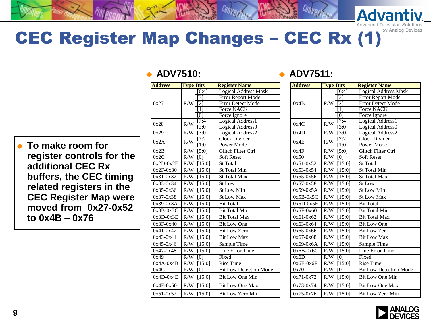# CEC Register Map Changes - CEC Rx (1)

 **To make room for register controls for the additional CEC Rx buffers, the CEC timing related registers in the CEC Register Map were moved from 0x27-0x52 to 0x4B – 0x76**

| <b>Address</b> | <b>Type Bits</b> |                             | <b>Register Name</b>                     |
|----------------|------------------|-----------------------------|------------------------------------------|
|                |                  | [6:4]                       | <b>Logical Address Mask</b>              |
|                |                  | $\lceil 3 \rceil$           | Error Report Mode                        |
| 0x27           | R/W              | $\overline{2}$              | <b>Error Detect Mode</b>                 |
|                |                  | [1]                         | Force NACK                               |
|                |                  | $\overline{101}$            | Force Ignore                             |
| 0x28           | R/W              | $\overline{[7:4]}$          | Logical Address1                         |
|                |                  | [3:0]                       | Logical Address0                         |
| 0x29           | R/W              | $\overline{3:0}$            | Logical Address2<br><b>Clock Divider</b> |
| 0x2A           | R/W              | $\overline{[7:2]}$<br>[1:0] | Power Mode                               |
| 0x2B           | R/W              | $\overline{[5:0]}$          | Glitch Filter Ctrl                       |
| 0x2C           | R/W              | [0]                         | <b>Soft Reset</b>                        |
| $0x2D-0x2E$    | R/W              | [15:0]                      | <b>St Total</b>                          |
| $0x2F-0x30$    | R/W              | [15:0]                      | St Total Min                             |
| $0x31-0x32$    | R/W              | [15:0]                      | <b>St Total Max</b>                      |
| $0x33-0x34$    | R/W              | [15:0]                      | St Low                                   |
| $0x35-0x36$    | R/W              | [15:0]                      | <b>St Low Min</b>                        |
| $0x37-0x38$    | R/W              |                             | <b>St Low Max</b>                        |
|                |                  | [15:0]                      |                                          |
| $0x39-0x3A$    | R/W              | [15:0]                      | <b>Bit Total</b>                         |
| $0x3B-0x3C$    | R/W              | [15:0]                      | <b>Bit Total Min</b>                     |
| $0x3D-0x3E$    | R/W              | [15:0]                      | <b>Bit Total Max</b>                     |
| $0x3F-0x40$    | R/W              | [15:0]                      | <b>Bit Low One</b>                       |
| $0x41-0x42$    | R/W              | [15:0]                      | <b>Bit Low Zero</b>                      |
| $0x43-0x44$    | R/W              | [15:0]                      | <b>Bit Low Max</b>                       |
| $0x45-0x46$    | R/W              | [15:0]                      | Sample Time                              |
| $0x47 - 0x48$  | R/W              | [15:0]                      | Line Error Time                          |
| 0x49           | $\overline{R/W}$ | $\overline{0}$              | Fixed                                    |
| $0x4A-0x4B$    | R/W              | $[15:0]$                    | <b>Rise Time</b>                         |
| 0x4C           | R/W              | [0]                         | <b>Bit Low Detection Mode</b>            |
| $0x4D-0x4E$    | R/W              | [15:0]                      | <b>Bit Low One Min</b>                   |
| $0x4F-0x50$    | R/W              | [15:0]                      | <b>Bit Low One Max</b>                   |
| $0x51-0x52$    | R/W              | [15:0]                      | <b>Bit Low Zero Min</b>                  |

#### **ADV7510: ADV7511:**

| <b>Address</b> | <b>Type Bits</b> |                    | <b>Register Name</b>              |
|----------------|------------------|--------------------|-----------------------------------|
|                |                  | [6:4]              | <b>Logical Address Mask</b>       |
|                |                  | $\lceil 3 \rceil$  | <b>Error Report Mode</b>          |
| 0x4B           | R/W              | $\overline{12}$    | <b>Error Detect Mode</b>          |
|                |                  | [1]                | <b>Force NACK</b>                 |
|                |                  | [0]                | Force Ignore                      |
| 0x4C           | R/W              | [7:4]              | Logical Address1                  |
| 0x4D           | R/W              | [3:0]<br>[3:0]     | Logical Address0                  |
|                |                  | 7:2                | Logical Address2<br>Clock Divider |
| 0x4E           | R/W              | $\overline{1:}0$   | Power Mode                        |
| 0x4F           | R/W              | $\overline{[5:0]}$ | Glitch Filter Ctrl                |
| 0x50           | R/W              | [0]                | <b>Soft Reset</b>                 |
| $0x51-0x52$    | R/W              | [15:0]             | <b>St Total</b>                   |
| $0x53-0x54$    | R/W              | [15:0]             | <b>St Total Min</b>               |
| $0x55-0x56$    | R/W              | [15:0]             | <b>St Total Max</b>               |
| $0x57-0x58$    | R/W              | [15:0]             | St Low                            |
| $0x59-0x5A$    | R/W              | [15:0]             | <b>St Low Min</b>                 |
| $0x5B-0x5C$    | R/W              | [15:0]             | <b>St Low Max</b>                 |
| $0x5D-0x5E$    | R/W              | [15:0]             | <b>Bit Total</b>                  |
| $0x5F-0x60$    | R/W              | [15:0]             | <b>Bit Total Min</b>              |
| $0x61-0x62$    | R/W              | [15:0]             | <b>Bit Total Max</b>              |
| $0x63-0x64$    | R/W              | [15:0]             | <b>Bit Low One</b>                |
| $0x65 - 0x66$  | R/W              | [15:0]             | <b>Bit Low Zero</b>               |
| $0x67 - 0x68$  | R/W              | [15:0]             | <b>Bit Low Max</b>                |
| $0x69-0x6A$    | R/W              | [15:0]             | Sample Time                       |
| $0x6B-0x6C$    | R/W              | [15:0]             | Line Error Time                   |
| 0x6D           | R/W              | $\overline{0}$     | Fixed                             |
| $0x6E-0x6F$    | R/W              | [15:0]             | Rise Time                         |
| 0x70           | R/W              | [0]                | <b>Bit Low Detection Mode</b>     |
| $0x71-0x72$    | R/W              | [15:0]             | <b>Bit Low One Min</b>            |
| $0x73-0x74$    | R/W              | [15:0]             | <b>Bit Low One Max</b>            |
| $0x75-0x76$    | R/W              | [15:0]             | <b>Bit Low Zero Min</b>           |

**Advanti** 

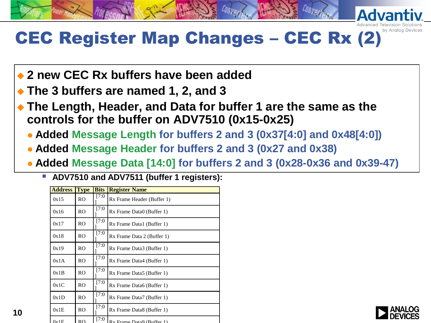# CEC Register Map Changes - CEC Rx (2)

- **2 new CEC Rx buffers have been added**
- **The 3 buffers are named 1, 2, and 3**
- **The Length, Header, and Data for buffer 1 are the same as the controls for the buffer on ADV7510 (0x15-0x25)**
	- **Added Message Length for buffers 2 and 3 (0x37[4:0] and 0x48[4:0])**
	- **Added Message Header for buffers 2 and 3 (0x27 and 0x38)**
	- **Added Message Data [14:0] for buffers 2 and 3 (0x28-0x36 and 0x39-47)**
		- **ADV7510 and ADV7511 (buffer 1 registers):**

| <b>Address</b> | <b>Type</b>    | <b>Bits</b> | <b>Register Name</b>       |  |
|----------------|----------------|-------------|----------------------------|--|
| 0x15           | R <sub>O</sub> | [7:0        | Rx Frame Header (Buffer 1) |  |
| 0x16           | R <sub>O</sub> | [7:0]       | Rx Frame Data0 (Buffer 1)  |  |
| 0x17           | R <sub>O</sub> | [7:0]       | Rx Frame Data1 (Buffer 1)  |  |
| 0x18           | R <sub>O</sub> | [7:0]       | Rx Frame Data 2 (Buffer 1) |  |
| 0x19           | RO.            | [7:0        | Rx Frame Data3 (Buffer 1)  |  |
| 0x1A           | R <sub>O</sub> | [7:0        | Rx Frame Data4 (Buffer 1)  |  |
| 0x1B           | R <sub>O</sub> | [7:0        | Rx Frame Data5 (Buffer 1)  |  |
| 0x1C           | R <sub>O</sub> | [7:0]       | Rx Frame Data6 (Buffer 1)  |  |
| 0x1D           | R <sub>O</sub> | [7:0]       | Rx Frame Data7 (Buffer 1)  |  |
| 0x1E           | R <sub>O</sub> | [7:0]       | Rx Frame Data8 (Buffer 1)  |  |
| 0x1F           | R <sub>O</sub> | [7:0]       | Rx Frame Data9 (Buffer 1)  |  |

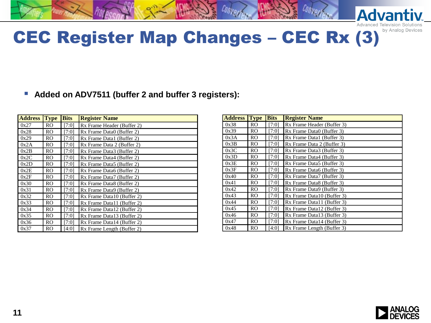# CEC Register Map Changes – CEC Rx (3)

#### **Added on ADV7511 (buffer 2 and buffer 3 registers):**

| <b>Address</b> | <b>Type</b>    | <b>Bits</b> | <b>Register Name</b>       |
|----------------|----------------|-------------|----------------------------|
| 0x27           | R <sub>O</sub> | [7:0]       | Rx Frame Header (Buffer 2) |
| 0x28           | RO.            | [7:0]       | Rx Frame Data0 (Buffer 2)  |
| 0x29           | RO.            | [7:0]       | Rx Frame Data1 (Buffer 2)  |
| 0x2A           | RO.            | [7:0]       | Rx Frame Data 2 (Buffer 2) |
| 0x2B           | RO.            | [7:0]       | Rx Frame Data3 (Buffer 2)  |
| 0x2C           | RO.            | [7:0]       | Rx Frame Data4 (Buffer 2)  |
| 0x2D           | RO.            | [7:0]       | Rx Frame Data5 (Buffer 2)  |
| 0x2E           | R <sub>O</sub> | [7:0]       | Rx Frame Data6 (Buffer 2)  |
| 0x2F           | R <sub>O</sub> | [7:0]       | Rx Frame Data7 (Buffer 2)  |
| 0x30           | R <sub>O</sub> | [7:0]       | Rx Frame Data8 (Buffer 2)  |
| 0x31           | RO.            | [7:0]       | Rx Frame Data9 (Buffer 2)  |
| 0x32           | R <sub>O</sub> | [7:0]       | Rx Frame Data10 (Buffer 2) |
| 0x33           | RO.            | [7:0]       | Rx Frame Data11 (Buffer 2) |
| 0x34           | RO.            | [7:0]       | Rx Frame Data12 (Buffer 2) |
| 0x35           | RO.            | [7:0]       | Rx Frame Data13 (Buffer 2) |
| 0x36           | RO.            | [7:0]       | Rx Frame Data14 (Buffer 2) |
| 0x37           | RO.            | [4:0]       | Rx Frame Length (Buffer 2) |

| <b>Address</b> | <b>Type</b>    | <b>Bits</b> | <b>Register Name</b>       |  |
|----------------|----------------|-------------|----------------------------|--|
| 0x38           | RO.            | [7:0]       | Rx Frame Header (Buffer 3) |  |
| 0x39           | R <sub>O</sub> | [7:0]       | Rx Frame Data0 (Buffer 3)  |  |
| 0x3A           | RO.            | [7:0]       | Rx Frame Data1 (Buffer 3)  |  |
| 0x3B           | RO.            | [7:0]       | Rx Frame Data 2 (Buffer 3) |  |
| 0x3C           | RO.            | [7:0]       | Rx Frame Data3 (Buffer 3)  |  |
| 0x3D           | RO.            | [7:0]       | Rx Frame Data4 (Buffer 3)  |  |
| 0x3E           | RO.            | [7:0]       | Rx Frame Data5 (Buffer 3)  |  |
| 0x3F           | RO.            | [7:0]       | Rx Frame Data6 (Buffer 3)  |  |
| 0x40           | R <sub>O</sub> | [7:0]       | Rx Frame Data7 (Buffer 3)  |  |
| 0x41           | R <sub>O</sub> | [7:0]       | Rx Frame Data8 (Buffer 3)  |  |
| 0x42           | R <sub>O</sub> | [7:0]       | Rx Frame Data9 (Buffer 3)  |  |
| 0x43           | R <sub>O</sub> | [7:0]       | Rx Frame Data10 (Buffer 3) |  |
| 0x44           | R <sub>O</sub> | [7:0]       | Rx Frame Data11 (Buffer 3) |  |
| 0x45           | RO.            | [7:0]       | Rx Frame Data12 (Buffer 3) |  |
| 0x46           | R <sub>O</sub> | [7:0]       | Rx Frame Data13 (Buffer 3) |  |
| 0x47           | RO.            | [7:0]       | Rx Frame Data14 (Buffer 3) |  |
| 0x48           | RO.            | [4:0]       | Rx Frame Length (Buffer 3) |  |



**Advant** 

by Analog Devices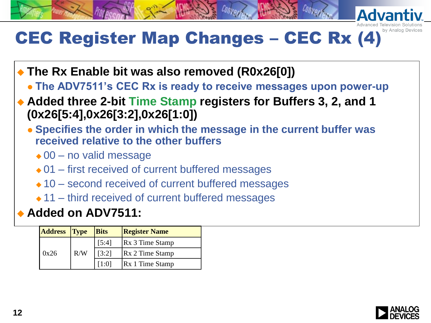# CEC Register Map Changes - CEC Rx (4)

- **The Rx Enable bit was also removed (R0x26[0])**
	- **The ADV7511's CEC Rx is ready to receive messages upon power-up**
- **Added three 2-bit Time Stamp registers for Buffers 3, 2, and 1 (0x26[5:4],0x26[3:2],0x26[1:0])**
	- **Specifies the order in which the message in the current buffer was received relative to the other buffers**
		- $\triangle$  00 no valid message
		- $\div$  01 first received of current buffered messages
		- $\triangle$  10 second received of current buffered messages
		- $\triangle$  11 third received of current buffered messages

#### **Added on ADV7511:**

| <b>Address</b> Type |     | <b>Bits</b> | <b>Register Name</b>   |
|---------------------|-----|-------------|------------------------|
|                     |     | [5:4]       | <b>Rx</b> 3 Time Stamp |
| 0x26                | R/W | [3:2]       | <b>Rx 2 Time Stamp</b> |
|                     |     | [1:0]       | <b>Rx</b> 1 Time Stamp |

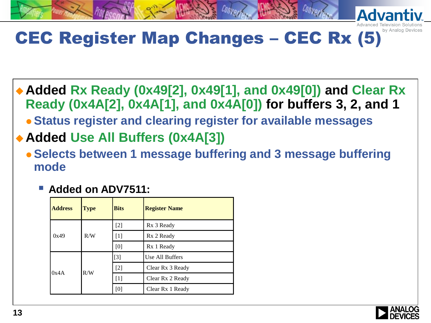# CEC Register Map Changes - CEC Rx (5)

- **Added Rx Ready (0x49[2], 0x49[1], and 0x49[0]) and Clear Rx Ready (0x4A[2], 0x4A[1], and 0x4A[0]) for buffers 3, 2, and 1**
	- **Status register and clearing register for available messages**
- **Added Use All Buffers (0x4A[3])**
	- **Selects between 1 message buffering and 3 message buffering mode**
		- **Added on ADV7511:**

| <b>Address</b> | <b>Type</b> | <b>Bits</b> | <b>Register Name</b> |
|----------------|-------------|-------------|----------------------|
|                |             | $[2]$       | Rx 3 Ready           |
| 0x49           | R/W         | $[1]$       | Rx 2 Ready           |
|                |             | [0]         | Rx 1 Ready           |
|                | R/W         | $[3]$       | Use All Buffers      |
| 0x4A           |             | $[2]$       | Clear Rx 3 Ready     |
|                |             | $[1]$       | Clear Rx 2 Ready     |
|                |             | [0]         | Clear Rx 1 Ready     |

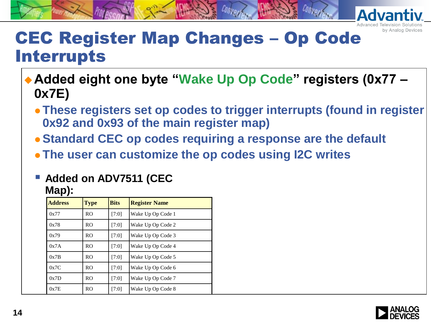

#### CEC Register Map Changes – Op Code Interrupts

- ◆ Added eight one byte "Wake Up Op Code" registers (0x77 **0x7E)**
	- **These registers set op codes to trigger interrupts (found in register 0x92 and 0x93 of the main register map)**
	- **Standard CEC op codes requiring a response are the default**
	- **The user can customize the op codes using I2C writes**

#### **Added on ADV7511 (CEC Map):**

| <b>Address</b> | <b>Type</b>    | <b>Bits</b> | <b>Register Name</b> |
|----------------|----------------|-------------|----------------------|
| 0x77           | R <sub>O</sub> | [7:0]       | Wake Up Op Code 1    |
| 0x78           | <b>RO</b>      | [7:0]       | Wake Up Op Code 2    |
| 0x79           | R <sub>O</sub> | [7:0]       | Wake Up Op Code 3    |
| 0x7A           | R <sub>O</sub> | [7:0]       | Wake Up Op Code 4    |
| 0x7B           | R <sub>O</sub> | [7:0]       | Wake Up Op Code 5    |
| 0x7C           | R <sub>O</sub> | [7:0]       | Wake Up Op Code 6    |
| 0x7D           | R <sub>O</sub> | [7:0]       | Wake Up Op Code 7    |
| 0x7E           | R <sub>O</sub> | [7:0]       | Wake Up Op Code 8    |

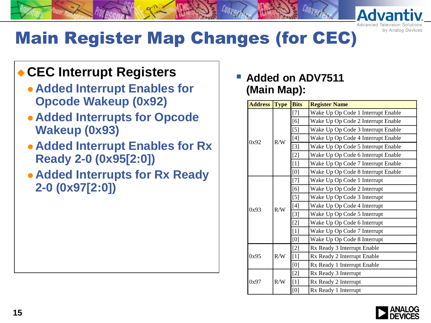

**Adva** 

# Main Register Map Changes (for CEC)

#### **CEC Interrupt Registers**

- **Added Interrupt Enables for Opcode Wakeup (0x92)**
- **Added Interrupts for Opcode Wakeup (0x93)**
- **Added Interrupt Enables for Rx Ready 2-0 (0x95[2:0])**
- **Added Interrupts for Rx Ready 2-0 (0x97[2:0])**

 **Added on ADV7511 (Main Map):**

| <b>Address</b> | <b>Type</b> | <b>Bits</b> | <b>Register Name</b>               |
|----------------|-------------|-------------|------------------------------------|
|                |             | $[7]$       | Wake Up Op Code 1 Interrupt Enable |
|                |             | [6]         | Wake Up Op Code 2 Interrupt Enable |
|                |             | $[5]$       | Wake Up Op Code 3 Interrupt Enable |
| 0x92           | R/W         | $[4]$       | Wake Up Op Code 4 Interrupt Enable |
|                |             | $[3]$       | Wake Up Op Code 5 Interrupt Enable |
|                |             | $[2]$       | Wake Up Op Code 6 Interrupt Enable |
|                |             | $[1]$       | Wake Up Op Code 7 Interrupt Enable |
|                |             | [0]         | Wake Up Op Code 8 Interrupt Enable |
|                |             | $[7]$       | Wake Up Op Code 1 Interrupt        |
|                | R/W         | [6]         | Wake Up Op Code 2 Interrupt        |
|                |             | $[5]$       | Wake Up Op Code 3 Interrupt        |
| 0x93           |             | $[4]$       | Wake Up Op Code 4 Interrupt        |
|                |             | $[3]$       | Wake Up Op Code 5 Interrupt        |
|                |             | $[2]$       | Wake Up Op Code 6 Interrupt        |
|                |             | $[1]$       | Wake Up Op Code 7 Interrupt        |
|                |             | [0]         | Wake Up Op Code 8 Interrupt        |
|                |             | $[2]$       | Rx Ready 3 Interrupt Enable        |
| 0x95           | R/W         | $[1]$       | Rx Ready 2 Interrupt Enable        |
|                |             | [0]         | Rx Ready 1 Interrupt Enable        |
|                |             | $[2]$       | Rx Ready 3 Interrupt               |
| 0x97           | R/W         | $[1]$       | Rx Ready 2 Interrupt               |
|                |             | [0]         | Rx Ready 1 Interrupt               |

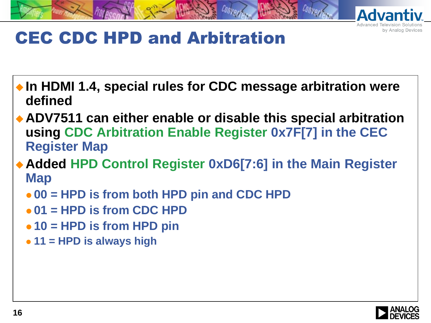

# CEC CDC HPD and Arbitration

- ◆ In HDMI 1.4, special rules for CDC message arbitration were **defined**
- **ADV7511 can either enable or disable this special arbitration using CDC Arbitration Enable Register 0x7F[7] in the CEC Register Map**
- **Added HPD Control Register 0xD6[7:6] in the Main Register Map**
	- **00 = HPD is from both HPD pin and CDC HPD**
	- **01 = HPD is from CDC HPD**
	- **10 = HPD is from HPD pin**
	- **11 = HPD is always high**

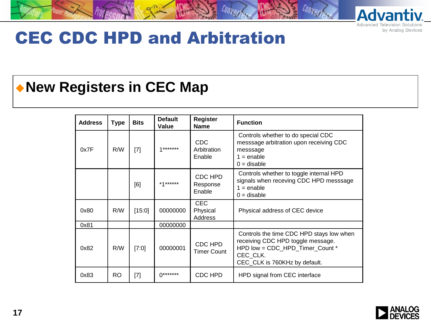

#### CEC CDC HPD and Arbitration

#### **New Registers in CEC Map**

| <b>Address</b> | <b>Type</b> | <b>Bits</b> | <b>Default</b><br>Value | Register<br><b>Name</b>             | <b>Function</b>                                                                                                                                               |
|----------------|-------------|-------------|-------------------------|-------------------------------------|---------------------------------------------------------------------------------------------------------------------------------------------------------------|
| 0x7F           | R/W         | $[7]$       | $1******$               | <b>CDC</b><br>Arbitration<br>Enable | Controls whether to do special CDC<br>messsage arbitration upon receiving CDC<br>messsage<br>$1 =$ enable<br>$0 =$ disable                                    |
|                |             | [6]         | *1******                | CDC HPD<br>Response<br>Enable       | Controls whether to toggle internal HPD<br>signals when receving CDC HPD messsage<br>$1 =$ enable<br>$0 =$ disable                                            |
| 0x80           | R/W         | [15:0]      | 00000000                | <b>CEC</b><br>Physical<br>Address   | Physical address of CEC device                                                                                                                                |
| 0x81           |             |             | 00000000                |                                     |                                                                                                                                                               |
| 0x82           | R/W         | [7:0]       | 00000001                | CDC HPD<br><b>Timer Count</b>       | Controls the time CDC HPD stays low when<br>receiving CDC HPD toggle message.<br>HPD low = CDC HPD Timer Count *<br>CEC_CLK.<br>CEC_CLK is 760KHz by default. |
| 0x83           | RO.         | $[7]$       | $0******$               | CDC HPD                             | HPD signal from CEC interface                                                                                                                                 |

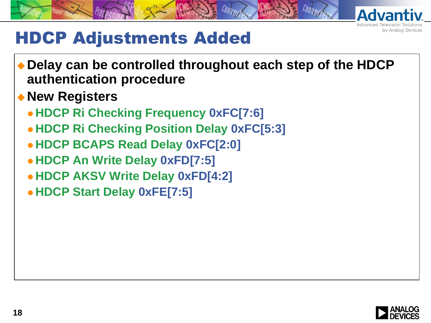

#### HDCP Adjustments Added

- **Delay can be controlled throughout each step of the HDCP authentication procedure**
- **New Registers**
	- **HDCP Ri Checking Frequency 0xFC[7:6]**
	- **HDCP Ri Checking Position Delay 0xFC[5:3]**
	- **HDCP BCAPS Read Delay 0xFC[2:0]**
	- **HDCP An Write Delay 0xFD[7:5]**
	- **HDCP AKSV Write Delay 0xFD[4:2]**
	- **HDCP Start Delay 0xFE[7:5]**

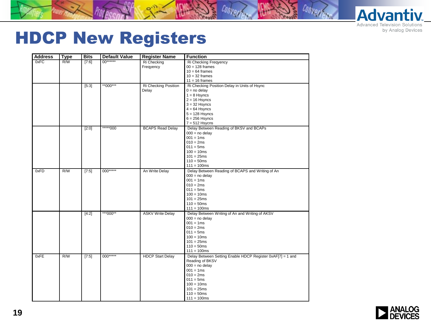

#### HDCP New Registers

| <b>Address</b> | <b>Type</b> | <b>Bits</b> | <b>Default Value</b> | <b>Register Name</b>    | <b>Function</b>                                            |
|----------------|-------------|-------------|----------------------|-------------------------|------------------------------------------------------------|
| 0xFC           | R/W         | [7:6]       | $00******$           | Ri Checking             | Ri Checking Freqyency                                      |
|                |             |             |                      | Freqyency               | $00 = 128$ frames                                          |
|                |             |             |                      |                         | $10 = 64$ frames                                           |
|                |             |             |                      |                         | $10 = 32$ frames                                           |
|                |             |             |                      |                         | $11 = 16$ frames                                           |
|                |             | [5:3]       | **000***             | Ri Checking Position    | Ri Checking Position Delay in Units of Hsync               |
|                |             |             |                      | Delay                   | $0 = no$ delay                                             |
|                |             |             |                      |                         | $1 = 8$ Hsyncs                                             |
|                |             |             |                      |                         | $2 = 16$ Hsyncs                                            |
|                |             |             |                      |                         | $3 = 32$ Hsyncs                                            |
|                |             |             |                      |                         | $4 = 64$ Hsyncs                                            |
|                |             |             |                      |                         | $5 = 128$ Hsyncs                                           |
|                |             |             |                      |                         | $6 = 256$ Hsyncs                                           |
|                |             |             |                      |                         | $7 = 512$ Hsycns                                           |
|                |             | [2:0]       | *****000             | <b>BCAPS Read Delay</b> | Delay Between Reading of BKSV and BCAPs                    |
|                |             |             |                      |                         | $000 = no$ delay                                           |
|                |             |             |                      |                         | $001 = 1ms$                                                |
|                |             |             |                      |                         | $010 = 2ms$                                                |
|                |             |             |                      |                         | $011 = 5ms$                                                |
|                |             |             |                      |                         | $100 = 10ms$                                               |
|                |             |             |                      |                         | $101 = 25ms$                                               |
|                |             |             |                      |                         | $110 = 50$ ms                                              |
|                |             |             |                      |                         | $111 = 100ms$                                              |
| 0xFD           | R/W         | $[7:5]$     | $000***$             | An Write Delay          | Delay Between Reading of BCAPS and Writing of An           |
|                |             |             |                      |                         | $000 = no$ delay                                           |
|                |             |             |                      |                         | $001 = 1ms$                                                |
|                |             |             |                      |                         | $010 = 2ms$                                                |
|                |             |             |                      |                         |                                                            |
|                |             |             |                      |                         | $011 = 5ms$                                                |
|                |             |             |                      |                         | $100 = 10ms$                                               |
|                |             |             |                      |                         | $101 = 25ms$                                               |
|                |             |             |                      |                         | $110 = 50$ ms                                              |
|                |             |             |                      |                         | $111 = 100ms$                                              |
|                |             | [4:2]       | ***000**             | <b>ASKV Write Delay</b> | Delay Between Writing of An and Writing of AKSV            |
|                |             |             |                      |                         | $000 = no$ delay                                           |
|                |             |             |                      |                         | $001 = 1ms$                                                |
|                |             |             |                      |                         | $010 = 2ms$                                                |
|                |             |             |                      |                         | $011 = 5ms$                                                |
|                |             |             |                      |                         | $100 = 10ms$                                               |
|                |             |             |                      |                         | $101 = 25ms$                                               |
|                |             |             |                      |                         | $110 = 50$ ms                                              |
|                |             |             |                      |                         | $111 = 100ms$                                              |
| 0xFE           | R/W         | $[7:5]$     | 000*****             | <b>HDCP Start Delay</b> | Delay Between Setting Enable HDCP Register 0xAF[7] = 1 and |
|                |             |             |                      |                         | Reading of BKSV                                            |
|                |             |             |                      |                         | $000 = no$ delay                                           |
|                |             |             |                      |                         | $001 = 1ms$                                                |
|                |             |             |                      |                         | $010 = 2ms$                                                |
|                |             |             |                      |                         | $011 = 5ms$                                                |
|                |             |             |                      |                         | $100 = 10ms$                                               |
|                |             |             |                      |                         | $101 = 25ms$                                               |
|                |             |             |                      |                         | $110 = 50$ ms                                              |
|                |             |             |                      |                         | $111 = 100ms$                                              |
|                |             |             |                      |                         |                                                            |

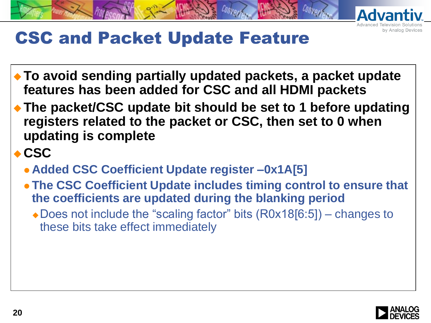

# CSC and Packet Update Feature

- **To avoid sending partially updated packets, a packet update features has been added for CSC and all HDMI packets**
- **The packet/CSC update bit should be set to 1 before updating registers related to the packet or CSC, then set to 0 when updating is complete**
- **CSC**
	- **Added CSC Coefficient Update register –0x1A[5]**
	- **The CSC Coefficient Update includes timing control to ensure that the coefficients are updated during the blanking period**
		- ◆ Does not include the "scaling factor" bits (R0x18[6:5]) changes to these bits take effect immediately

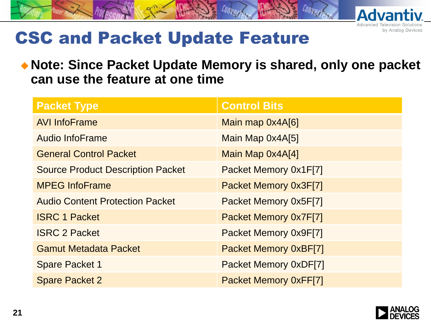

# CSC and Packet Update Feature

#### **Note: Since Packet Update Memory is shared, only one packet can use the feature at one time**

| <b>Packet Type</b>                       | <b>Control Bits</b>          |
|------------------------------------------|------------------------------|
| <b>AVI InfoFrame</b>                     | Main map 0x4A[6]             |
| <b>Audio InfoFrame</b>                   | Main Map 0x4A[5]             |
| <b>General Control Packet</b>            | Main Map 0x4A[4]             |
| <b>Source Product Description Packet</b> | Packet Memory 0x1F[7]        |
| <b>MPEG InfoFrame</b>                    | Packet Memory 0x3F[7]        |
| <b>Audio Content Protection Packet</b>   | Packet Memory 0x5F[7]        |
| <b>ISRC 1 Packet</b>                     | Packet Memory 0x7F[7]        |
| <b>ISRC 2 Packet</b>                     | Packet Memory 0x9F[7]        |
| <b>Gamut Metadata Packet</b>             | <b>Packet Memory 0xBF[7]</b> |
| <b>Spare Packet 1</b>                    | Packet Memory 0xDF[7]        |
| <b>Spare Packet 2</b>                    | <b>Packet Memory 0xFF[7]</b> |

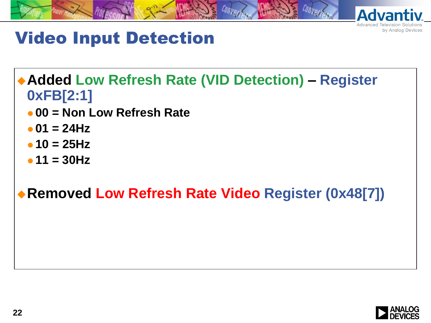

# Video Input Detection

**Added Low Refresh Rate (VID Detection) – Register 0xFB[2:1]**

- **00 = Non Low Refresh Rate**
- $\bullet$  01 = 24Hz
- **10 = 25Hz**
- **11 = 30Hz**

#### **Removed Low Refresh Rate Video Register (0x48[7])**

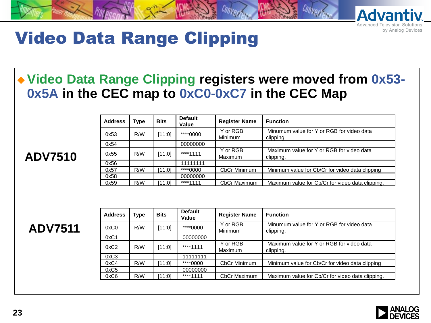

### Video Data Range Clipping

#### **Video Data Range Clipping registers were moved from 0x53- 0x5A in the CEC map to 0xC0-0xC7 in the CEC Map**

#### **ADV7510**

| <b>Address</b> | <b>Type</b> | <b>Bits</b> | <b>Default</b><br>Value | <b>Register Name</b> | <b>Function</b>                                  |
|----------------|-------------|-------------|-------------------------|----------------------|--------------------------------------------------|
| 0x53           | R/W         | [11:0]      | ****0000                | Y or RGB             | Minumum value for Y or RGB for video data        |
|                |             |             |                         | Minimum              | clipping.                                        |
| 0x54           |             |             | 00000000                |                      |                                                  |
| 0x55           | R/W         | [11:0]      | ****1111                | Y or RGB             | Maximum value for Y or RGB for video data        |
|                |             |             |                         | Maximum              | clipping.                                        |
| 0x56           |             |             | 11111111                |                      |                                                  |
| 0x57           | R/W         | 11:01       | ****0000                | CbCr Minimum         | Minimum value for Cb/Cr for video data clipping  |
| 0x58           |             |             | 00000000                |                      |                                                  |
| 0x59           | R/W         | 11:01       | ****1111                | CbCr Maximum         | Maximum value for Cb/Cr for video data clipping. |

**ADV7511**

| <b>Address</b> | Type | <b>Bits</b> | <b>Default</b><br>Value | <b>Register Name</b> | <b>Function</b>                                  |
|----------------|------|-------------|-------------------------|----------------------|--------------------------------------------------|
| 0xC0           | R/W  | [11:0]      | ****0000                | Y or RGB             | Minumum value for Y or RGB for video data        |
|                |      |             |                         | <b>Minimum</b>       | clipping.                                        |
| 0xC1           |      |             | 00000000                |                      |                                                  |
| 0xC2           | R/W  | [11:0]      | ****1111                | Y or RGB             | Maximum value for Y or RGB for video data        |
|                |      |             |                         | Maximum              | clipping.                                        |
| 0xC3           |      |             | 11111111                |                      |                                                  |
| 0xC4           | R/W  | [11:0]      | ****0000                | <b>CbCr Minimum</b>  | Minimum value for Cb/Cr for video data clipping  |
| 0xC5           |      |             | 00000000                |                      |                                                  |
| 0xC6           | R/W  | 11:01       | ****1111                | <b>CbCr Maximum</b>  | Maximum value for Cb/Cr for video data clipping. |

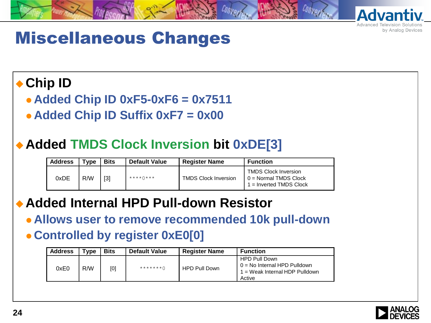

#### Miscellaneous Changes

#### **Chip ID**

**Added Chip ID 0xF5-0xF6 = 0x7511**

**Added Chip ID Suffix 0xF7 = 0x00**

#### **Added TMDS Clock Inversion bit 0xDE[3]**

| <b>Address</b> | <b>Type</b> | <b>Bits</b> | <b>Default Value</b> | <b>Register Name</b>        | <b>Function</b>                                                                     |
|----------------|-------------|-------------|----------------------|-----------------------------|-------------------------------------------------------------------------------------|
| 0xDE           | R/W         | $[3]$       | $***$ $\wedge$ $***$ | <b>TMDS Clock Inversion</b> | <b>TMDS Clock Inversion</b><br>$0 = Normal$ TMDS Clock<br>$1 =$ Inverted TMDS Clock |

#### **Added Internal HPD Pull-down Resistor**

 **Allows user to remove recommended 10k pull-down Controlled by register 0xE0[0]**

| Address | $T$ <sub>V</sub> pe | <b>Bits</b> | <b>Default Value</b> | <b>Register Name</b> | <b>Function</b>                                                                                    |
|---------|---------------------|-------------|----------------------|----------------------|----------------------------------------------------------------------------------------------------|
| 0xE0    | R/W                 | [0]         | $******+*$ 0         | <b>HPD Pull Down</b> | <b>HPD Pull Down</b><br>$0 =$ No Internal HPD Pulldown<br>1 = Weak Internal HDP Pulldown<br>Active |